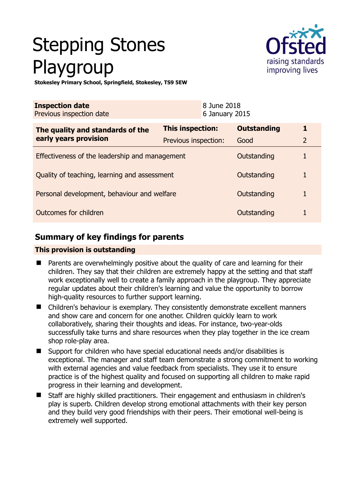# Stepping Stones Playgroup



**Stokesley Primary School, Springfield, Stokesley, TS9 5EW** 

| <b>Inspection date</b><br>Previous inspection date        |                      | 8 June 2018<br>6 January 2015 |                    |                |
|-----------------------------------------------------------|----------------------|-------------------------------|--------------------|----------------|
| The quality and standards of the<br>early years provision | This inspection:     |                               | <b>Outstanding</b> | 1              |
|                                                           | Previous inspection: |                               | Good               | $\overline{2}$ |
| Effectiveness of the leadership and management            |                      |                               | Outstanding        |                |
| Quality of teaching, learning and assessment              |                      |                               | Outstanding        |                |
| Personal development, behaviour and welfare               |                      | Outstanding                   |                    |                |
| Outcomes for children                                     |                      |                               | Outstanding        |                |

# **Summary of key findings for parents**

## **This provision is outstanding**

- Parents are overwhelmingly positive about the quality of care and learning for their children. They say that their children are extremely happy at the setting and that staff work exceptionally well to create a family approach in the playgroup. They appreciate regular updates about their children's learning and value the opportunity to borrow high-quality resources to further support learning.
- Children's behaviour is exemplary. They consistently demonstrate excellent manners and show care and concern for one another. Children quickly learn to work collaboratively, sharing their thoughts and ideas. For instance, two-year-olds successfully take turns and share resources when they play together in the ice cream shop role-play area.
- Support for children who have special educational needs and/or disabilities is exceptional. The manager and staff team demonstrate a strong commitment to working with external agencies and value feedback from specialists. They use it to ensure practice is of the highest quality and focused on supporting all children to make rapid progress in their learning and development.
- Staff are highly skilled practitioners. Their engagement and enthusiasm in children's play is superb. Children develop strong emotional attachments with their key person and they build very good friendships with their peers. Their emotional well-being is extremely well supported.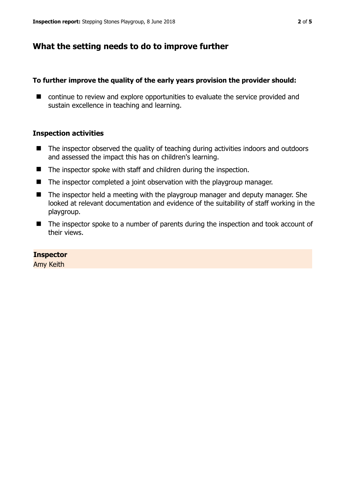# **What the setting needs to do to improve further**

#### **To further improve the quality of the early years provision the provider should:**

■ continue to review and explore opportunities to evaluate the service provided and sustain excellence in teaching and learning.

#### **Inspection activities**

- The inspector observed the quality of teaching during activities indoors and outdoors and assessed the impact this has on children's learning.
- The inspector spoke with staff and children during the inspection.
- $\blacksquare$  The inspector completed a joint observation with the playgroup manager.
- The inspector held a meeting with the playgroup manager and deputy manager. She looked at relevant documentation and evidence of the suitability of staff working in the playgroup.
- The inspector spoke to a number of parents during the inspection and took account of their views.

#### **Inspector**

Amy Keith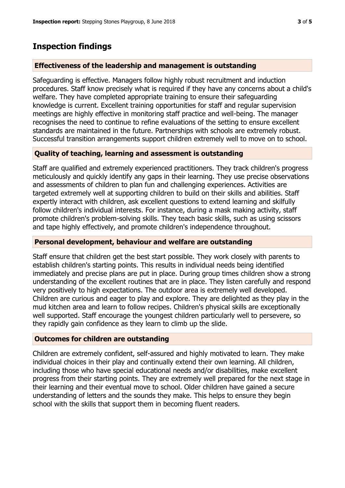# **Inspection findings**

## **Effectiveness of the leadership and management is outstanding**

Safeguarding is effective. Managers follow highly robust recruitment and induction procedures. Staff know precisely what is required if they have any concerns about a child's welfare. They have completed appropriate training to ensure their safeguarding knowledge is current. Excellent training opportunities for staff and regular supervision meetings are highly effective in monitoring staff practice and well-being. The manager recognises the need to continue to refine evaluations of the setting to ensure excellent standards are maintained in the future. Partnerships with schools are extremely robust. Successful transition arrangements support children extremely well to move on to school.

## **Quality of teaching, learning and assessment is outstanding**

Staff are qualified and extremely experienced practitioners. They track children's progress meticulously and quickly identify any gaps in their learning. They use precise observations and assessments of children to plan fun and challenging experiences. Activities are targeted extremely well at supporting children to build on their skills and abilities. Staff expertly interact with children, ask excellent questions to extend learning and skilfully follow children's individual interests. For instance, during a mask making activity, staff promote children's problem-solving skills. They teach basic skills, such as using scissors and tape highly effectively, and promote children's independence throughout.

### **Personal development, behaviour and welfare are outstanding**

Staff ensure that children get the best start possible. They work closely with parents to establish children's starting points. This results in individual needs being identified immediately and precise plans are put in place. During group times children show a strong understanding of the excellent routines that are in place. They listen carefully and respond very positively to high expectations. The outdoor area is extremely well developed. Children are curious and eager to play and explore. They are delighted as they play in the mud kitchen area and learn to follow recipes. Children's physical skills are exceptionally well supported. Staff encourage the youngest children particularly well to persevere, so they rapidly gain confidence as they learn to climb up the slide.

### **Outcomes for children are outstanding**

Children are extremely confident, self-assured and highly motivated to learn. They make individual choices in their play and continually extend their own learning. All children, including those who have special educational needs and/or disabilities, make excellent progress from their starting points. They are extremely well prepared for the next stage in their learning and their eventual move to school. Older children have gained a secure understanding of letters and the sounds they make. This helps to ensure they begin school with the skills that support them in becoming fluent readers.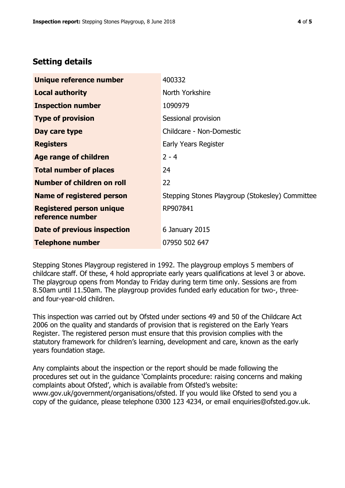# **Setting details**

| Unique reference number                             | 400332                                          |  |
|-----------------------------------------------------|-------------------------------------------------|--|
| <b>Local authority</b>                              | North Yorkshire                                 |  |
| <b>Inspection number</b>                            | 1090979                                         |  |
| <b>Type of provision</b>                            | Sessional provision                             |  |
| Day care type                                       | Childcare - Non-Domestic                        |  |
| <b>Registers</b>                                    | Early Years Register                            |  |
| Age range of children                               | $2 - 4$                                         |  |
| <b>Total number of places</b>                       | 24                                              |  |
| Number of children on roll                          | 22                                              |  |
| <b>Name of registered person</b>                    | Stepping Stones Playgroup (Stokesley) Committee |  |
| <b>Registered person unique</b><br>reference number | RP907841                                        |  |
| Date of previous inspection                         | 6 January 2015                                  |  |
| <b>Telephone number</b>                             | 07950 502 647                                   |  |

Stepping Stones Playgroup registered in 1992. The playgroup employs 5 members of childcare staff. Of these, 4 hold appropriate early years qualifications at level 3 or above. The playgroup opens from Monday to Friday during term time only. Sessions are from 8.50am until 11.50am. The playgroup provides funded early education for two-, threeand four-year-old children.

This inspection was carried out by Ofsted under sections 49 and 50 of the Childcare Act 2006 on the quality and standards of provision that is registered on the Early Years Register. The registered person must ensure that this provision complies with the statutory framework for children's learning, development and care, known as the early years foundation stage.

Any complaints about the inspection or the report should be made following the procedures set out in the guidance 'Complaints procedure: raising concerns and making complaints about Ofsted', which is available from Ofsted's website: www.gov.uk/government/organisations/ofsted. If you would like Ofsted to send you a copy of the guidance, please telephone 0300 123 4234, or email enquiries@ofsted.gov.uk.